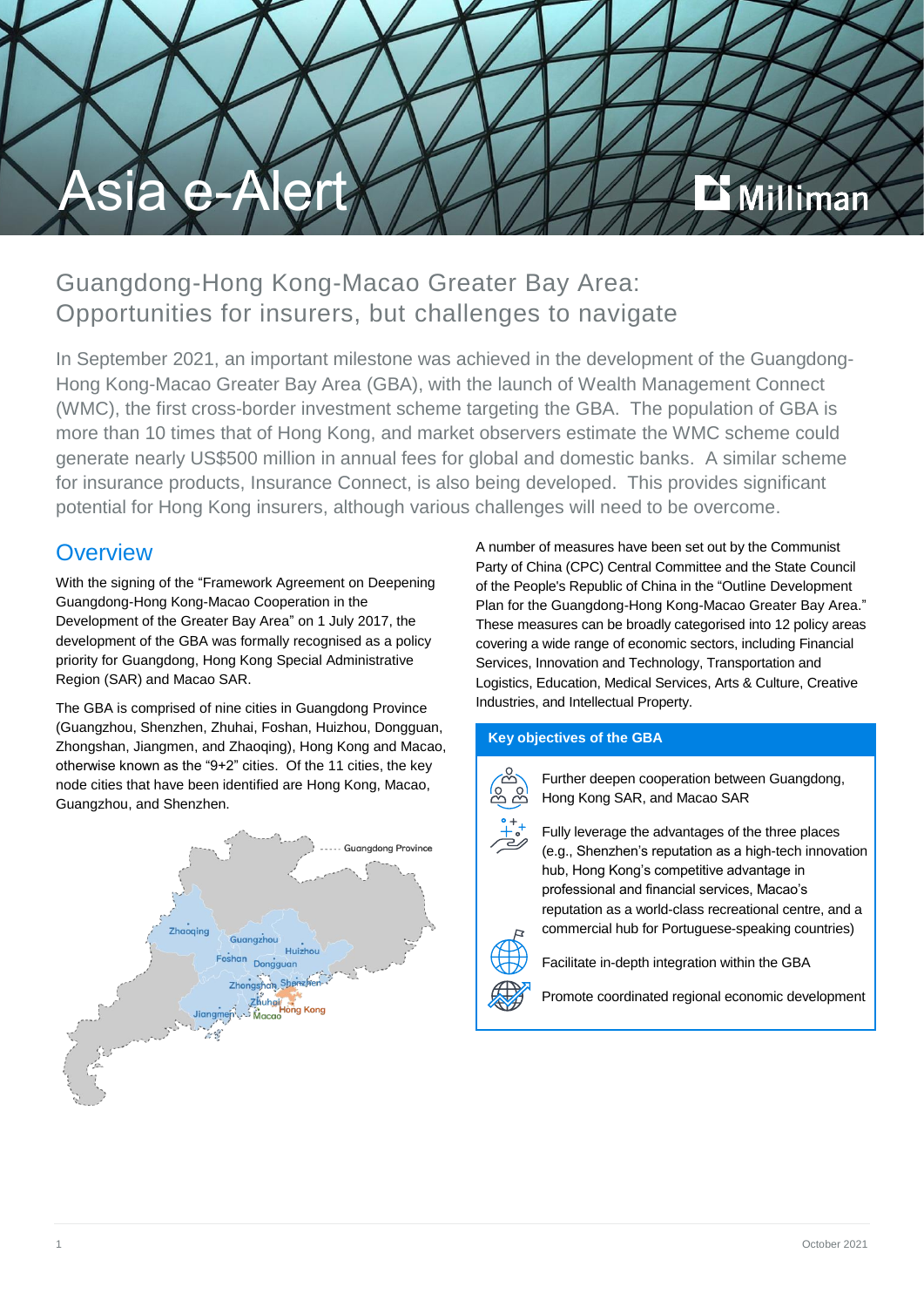

## Guangdong-Hong Kong-Macao Greater Bay Area: Opportunities for insurers, but challenges to navigate

In September 2021, an important milestone was achieved in the development of the Guangdong-Hong Kong-Macao Greater Bay Area (GBA), with the launch of Wealth Management Connect (WMC), the first cross-border investment scheme targeting the GBA. The population of GBA is more than 10 times that of Hong Kong, and market observers estimate the WMC scheme could generate nearly US\$500 million in annual fees for global and domestic banks. A similar scheme for insurance products, Insurance Connect, is also being developed. This provides significant potential for Hong Kong insurers, although various challenges will need to be overcome.

### **Overview**

With the signing of the "Framework Agreement on Deepening Guangdong-Hong Kong-Macao Cooperation in the Development of the Greater Bay Area" on 1 July 2017, the development of the GBA was formally recognised as a policy priority for Guangdong, Hong Kong Special Administrative Region (SAR) and Macao SAR.

The GBA is comprised of nine cities in Guangdong Province (Guangzhou, Shenzhen, Zhuhai, Foshan, Huizhou, Dongguan, Zhongshan, Jiangmen, and Zhaoqing), Hong Kong and Macao, otherwise known as the "9+2" cities. Of the 11 cities, the key node cities that have been identified are Hong Kong, Macao, Guangzhou, and Shenzhen.



A number of measures have been set out by the Communist Party of China (CPC) Central Committee and the State Council of the People's Republic of China in the "Outline Development Plan for the Guangdong-Hong Kong-Macao Greater Bay Area." These measures can be broadly categorised into 12 policy areas covering a wide range of economic sectors, including Financial Services, Innovation and Technology, Transportation and Logistics, Education, Medical Services, Arts & Culture, Creative Industries, and Intellectual Property.

#### **Key objectives of the GBA**



 Further deepen cooperation between Guangdong, Hong Kong SAR, and Macao SAR

 Fully leverage the advantages of the three places (e.g., Shenzhen's reputation as a high-tech innovation hub, Hong Kong's competitive advantage in professional and financial services, Macao's reputation as a world-class recreational centre, and a commercial hub for Portuguese-speaking countries)



Facilitate in-depth integration within the GBA

Promote coordinated regional economic development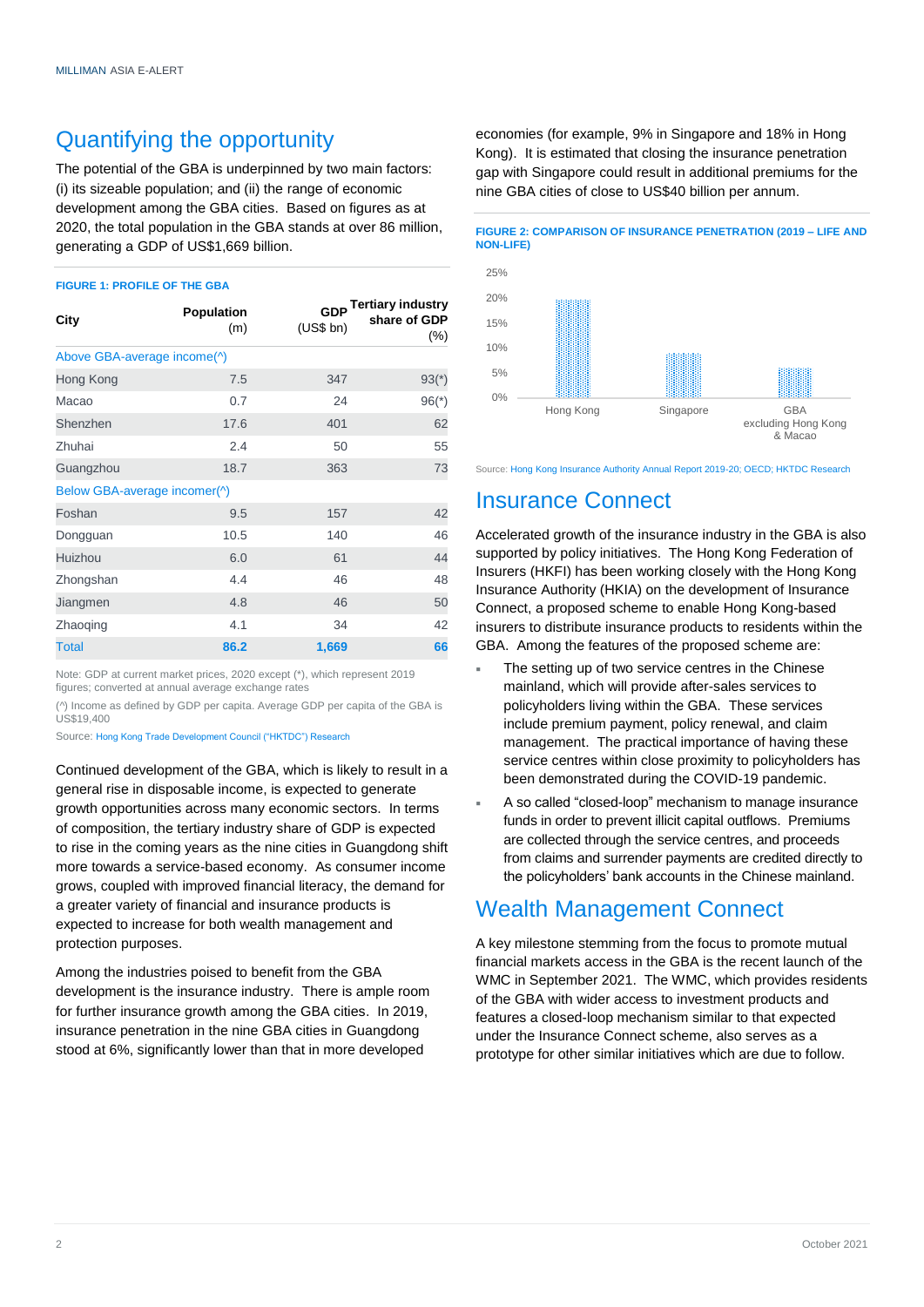### Quantifying the opportunity

The potential of the GBA is underpinned by two main factors: (i) its sizeable population; and (ii) the range of economic development among the GBA cities. Based on figures as at 2020, the total population in the GBA stands at over 86 million, generating a GDP of US\$1,669 billion.

#### **FIGURE 1: PROFILE OF THE GBA**

| City                         | Population<br>(m) | (US\$ bh) | GDP Tertiary industry<br>share of GDP<br>$(\% )$ |
|------------------------------|-------------------|-----------|--------------------------------------------------|
| Above GBA-average income(^)  |                   |           |                                                  |
| Hong Kong                    | 7.5               | 347       | $93(*)$                                          |
| Macao                        | 0.7               | 24        | $96(*)$                                          |
| Shenzhen                     | 17.6              | 401       | 62                                               |
| Zhuhai                       | 2.4               | 50        | 55                                               |
| Guangzhou                    | 18.7              | 363       | 73                                               |
| Below GBA-average incomer(^) |                   |           |                                                  |
| Foshan                       | 9.5               | 157       | 42                                               |
| Dongguan                     | 10.5              | 140       | 46                                               |
| Huizhou                      | 6.0               | 61        | 44                                               |
| Zhongshan                    | 4.4               | 46        | 48                                               |
| Jiangmen                     | 4.8               | 46        | 50                                               |
| Zhaoging                     | 4.1               | 34        | 42                                               |
| <b>Total</b>                 | 86.2              | 1,669     | 66                                               |

Note: GDP at current market prices, 2020 except (\*), which represent 2019 figures; converted at annual average exchange rates

(^) Income as defined by GDP per capita. Average GDP per capita of the GBA is US\$19,400

Source: Hong Kong Trade Development Council ("HKTDC") Research

Continued development of the GBA, which is likely to result in a general rise in disposable income, is expected to generate growth opportunities across many economic sectors. In terms of composition, the tertiary industry share of GDP is expected to rise in the coming years as the nine cities in Guangdong shift more towards a service-based economy. As consumer income grows, coupled with improved financial literacy, the demand for a greater variety of financial and insurance products is expected to increase for both wealth management and protection purposes.

Among the industries poised to benefit from the GBA development is the insurance industry. There is ample room for further insurance growth among the GBA cities. In 2019, insurance penetration in the nine GBA cities in Guangdong stood at 6%, significantly lower than that in more developed

economies (for example, 9% in Singapore and 18% in Hong Kong). It is estimated that closing the insurance penetration gap with Singapore could result in additional premiums for the nine GBA cities of close to US\$40 billion per annum.



Source: [Hong](https://www.bain.com/globalassets/noindex/2021/bain_brief_financial_services_opportunities_of_chinas_greater_bay_area.pdf) Kong Insurance Authority Annual Report 2019-20; OECD; HKTDC Research

#### Insurance Connect

Accelerated growth of the insurance industry in the GBA is also supported by policy initiatives. The Hong Kong Federation of Insurers (HKFI) has been working closely with the Hong Kong Insurance Authority (HKIA) on the development of Insurance Connect, a proposed scheme to enable Hong Kong-based insurers to distribute insurance products to residents within the GBA. Among the features of the proposed scheme are:

- The setting up of two service centres in the Chinese mainland, which will provide after-sales services to policyholders living within the GBA. These services include premium payment, policy renewal, and claim management. The practical importance of having these service centres within close proximity to policyholders has been demonstrated during the COVID-19 pandemic.
- A so called "closed-loop" mechanism to manage insurance funds in order to prevent illicit capital outflows. Premiums are collected through the service centres, and proceeds from claims and surrender payments are credited directly to the policyholders' bank accounts in the Chinese mainland.

### Wealth Management Connect

A key milestone stemming from the focus to promote mutual financial markets access in the GBA is the recent launch of the WMC in September 2021. The WMC, which provides residents of the GBA with wider access to investment products and features a closed-loop mechanism similar to that expected under the Insurance Connect scheme, also serves as a prototype for other similar initiatives which are due to follow.